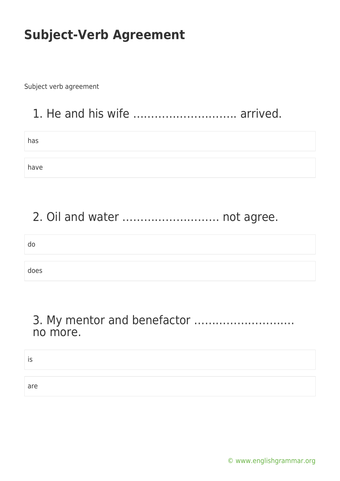Subject verb agreement

### 1. He and his wife ……………………….. arrived.

has

have

### 2. Oil and water ……………………… not agree.

| do   |  |
|------|--|
|      |  |
| does |  |

#### 3. My mentor and benefactor ………………………. no more.

is

are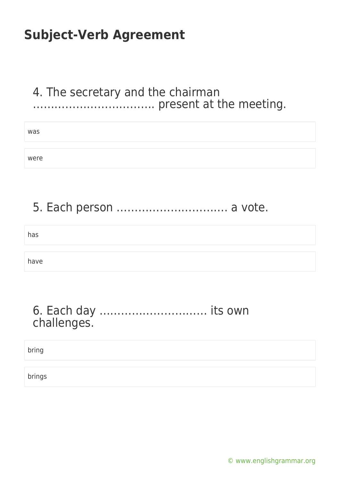#### 4. The secretary and the chairman ……………………………. present at the meeting.

| was  |  |
|------|--|
|      |  |
| were |  |

### 5. Each person …………………………. a vote.

has have

#### 6. Each day ………………………… its own challenges.

bring

brings

[© www.englishgrammar.org](https://www.englishgrammar.org/)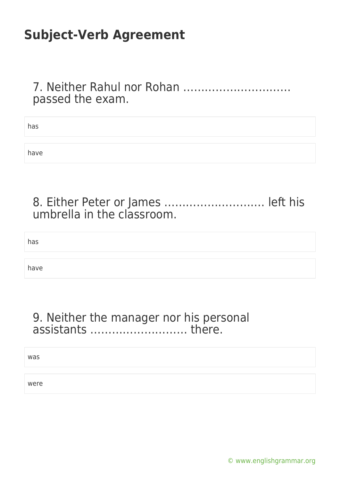#### 7. Neither Rahul nor Rohan ………………………… passed the exam.

| has  |  |
|------|--|
|      |  |
| have |  |

#### 8. Either Peter or James ………………………. left his umbrella in the classroom.

has

have

#### 9. Neither the manager nor his personal assistants ……………………… there.

was

were

[© www.englishgrammar.org](https://www.englishgrammar.org/)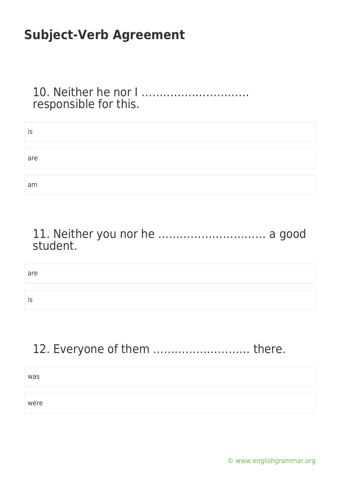10. Neither he nor I ………………………… responsible for this.

| IS  |  |  |
|-----|--|--|
|     |  |  |
| are |  |  |
|     |  |  |
| am  |  |  |

11. Neither you nor he ………………………… a good student.

are

is

12. Everyone of them ……………………… there.

was

were

[© www.englishgrammar.org](https://www.englishgrammar.org/)